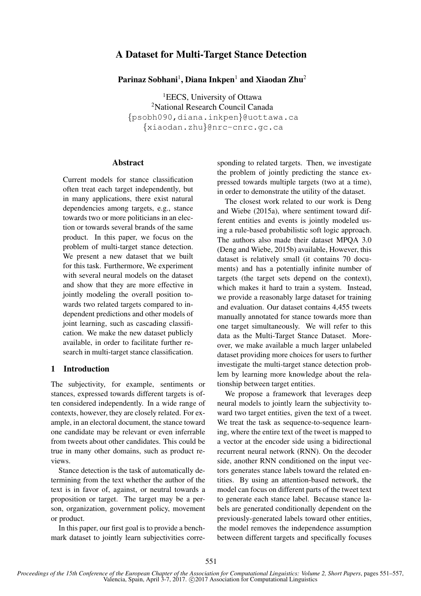# A Dataset for Multi-Target Stance Detection

Parinaz Sobhani<sup>1</sup>, Diana Inkpen<sup>1</sup> and Xiaodan Zhu<sup>2</sup>

<sup>1</sup>EECS, University of Ottawa <sup>2</sup>National Research Council Canada {psobh090,diana.inkpen}@uottawa.ca {xiaodan.zhu}@nrc-cnrc.gc.ca

### **Abstract**

Current models for stance classification often treat each target independently, but in many applications, there exist natural dependencies among targets, e.g., stance towards two or more politicians in an election or towards several brands of the same product. In this paper, we focus on the problem of multi-target stance detection. We present a new dataset that we built for this task. Furthermore, We experiment with several neural models on the dataset and show that they are more effective in jointly modeling the overall position towards two related targets compared to independent predictions and other models of joint learning, such as cascading classification. We make the new dataset publicly available, in order to facilitate further research in multi-target stance classification.

## 1 Introduction

The subjectivity, for example, sentiments or stances, expressed towards different targets is often considered independently. In a wide range of contexts, however, they are closely related. For example, in an electoral document, the stance toward one candidate may be relevant or even inferrable from tweets about other candidates. This could be true in many other domains, such as product reviews.

Stance detection is the task of automatically determining from the text whether the author of the text is in favor of, against, or neutral towards a proposition or target. The target may be a person, organization, government policy, movement or product.

In this paper, our first goal is to provide a benchmark dataset to jointly learn subjectivities corresponding to related targets. Then, we investigate the problem of jointly predicting the stance expressed towards multiple targets (two at a time), in order to demonstrate the utility of the dataset.

The closest work related to our work is Deng and Wiebe (2015a), where sentiment toward different entities and events is jointly modeled using a rule-based probabilistic soft logic approach. The authors also made their dataset MPQA 3.0 (Deng and Wiebe, 2015b) available, However, this dataset is relatively small (it contains 70 documents) and has a potentially infinite number of targets (the target sets depend on the context), which makes it hard to train a system. Instead, we provide a reasonably large dataset for training and evaluation. Our dataset contains 4,455 tweets manually annotated for stance towards more than one target simultaneously. We will refer to this data as the Multi-Target Stance Dataset. Moreover, we make available a much larger unlabeled dataset providing more choices for users to further investigate the multi-target stance detection problem by learning more knowledge about the relationship between target entities.

We propose a framework that leverages deep neural models to jointly learn the subjectivity toward two target entities, given the text of a tweet. We treat the task as sequence-to-sequence learning, where the entire text of the tweet is mapped to a vector at the encoder side using a bidirectional recurrent neural network (RNN). On the decoder side, another RNN conditioned on the input vectors generates stance labels toward the related entities. By using an attention-based network, the model can focus on different parts of the tweet text to generate each stance label. Because stance labels are generated conditionally dependent on the previously-generated labels toward other entities, the model removes the independence assumption between different targets and specifically focuses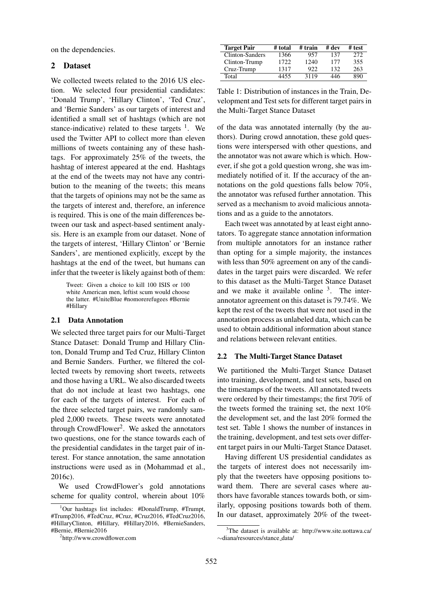on the dependencies.

### 2 Dataset

We collected tweets related to the 2016 US election. We selected four presidential candidates: 'Donald Trump', 'Hillary Clinton', 'Ted Cruz', and 'Bernie Sanders' as our targets of interest and identified a small set of hashtags (which are not stance-indicative) related to these targets  $<sup>1</sup>$ . We</sup> used the Twitter API to collect more than eleven millions of tweets containing any of these hashtags. For approximately 25% of the tweets, the hashtag of interest appeared at the end. Hashtags at the end of the tweets may not have any contribution to the meaning of the tweets; this means that the targets of opinions may not be the same as the targets of interest and, therefore, an inference is required. This is one of the main differences between our task and aspect-based sentiment analysis. Here is an example from our dataset. None of the targets of interest, 'Hillary Clinton' or 'Bernie Sanders', are mentioned explicitly, except by the hashtags at the end of the tweet, but humans can infer that the tweeter is likely against both of them:

Tweet: Given a choice to kill 100 ISIS or 100 white American men, leftist scum would choose the latter. #UniteBlue #nomorerefugees #Bernie #Hillary

#### 2.1 Data Annotation

We selected three target pairs for our Multi-Target Stance Dataset: Donald Trump and Hillary Clinton, Donald Trump and Ted Cruz, Hillary Clinton and Bernie Sanders. Further, we filtered the collected tweets by removing short tweets, retweets and those having a URL. We also discarded tweets that do not include at least two hashtags, one for each of the targets of interest. For each of the three selected target pairs, we randomly sampled 2,000 tweets. These tweets were annotated through CrowdFlower<sup>2</sup>. We asked the annotators two questions, one for the stance towards each of the presidential candidates in the target pair of interest. For stance annotation, the same annotation instructions were used as in (Mohammad et al., 2016c).

We used CrowdFlower's gold annotations scheme for quality control, wherein about 10%

| <b>Target Pair</b> | # total | # train | # dev | # test |
|--------------------|---------|---------|-------|--------|
| Clinton-Sanders    | 1366    | 957     | 137   | 272    |
| Clinton-Trump      | 1722    | 1240    | 177   | 355    |
| Cruz-Trump         | 1317    | 922     | 132   | 263    |
| Total              | 4455    | 3119    | 446   | 890    |

Table 1: Distribution of instances in the Train, Development and Test sets for different target pairs in the Multi-Target Stance Dataset

of the data was annotated internally (by the authors). During crowd annotation, these gold questions were interspersed with other questions, and the annotator was not aware which is which. However, if she got a gold question wrong, she was immediately notified of it. If the accuracy of the annotations on the gold questions falls below 70%, the annotator was refused further annotation. This served as a mechanism to avoid malicious annotations and as a guide to the annotators.

Each tweet was annotated by at least eight annotators. To aggregate stance annotation information from multiple annotators for an instance rather than opting for a simple majority, the instances with less than 50% agreement on any of the candidates in the target pairs were discarded. We refer to this dataset as the Multi-Target Stance Dataset and we make it available online  $3$ . The interannotator agreement on this dataset is 79.74%. We kept the rest of the tweets that were not used in the annotation process as unlabeled data, which can be used to obtain additional information about stance and relations between relevant entities.

#### 2.2 The Multi-Target Stance Dataset

We partitioned the Multi-Target Stance Dataset into training, development, and test sets, based on the timestamps of the tweets. All annotated tweets were ordered by their timestamps; the first 70% of the tweets formed the training set, the next 10% the development set, and the last 20% formed the test set. Table 1 shows the number of instances in the training, development, and test sets over different target pairs in our Multi-Target Stance Dataset.

Having different US presidential candidates as the targets of interest does not necessarily imply that the tweeters have opposing positions toward them. There are several cases where authors have favorable stances towards both, or similarly, opposing positions towards both of them. In our dataset, approximately 20% of the tweet-

 $1$ Our hashtags list includes: #DonaldTrump, #Trumpt, #Trump2016, #TedCruz, #Cruz, #Cruz2016, #TedCruz2016, #HillaryClinton, #Hillary, #Hillary2016, #BernieSanders, #Bernie, #Bernie2016

<sup>2</sup> http://www.crowdflower.com

<sup>&</sup>lt;sup>3</sup>The dataset is available at: http://www.site.uottawa.ca/ ∼diana/resources/stance data/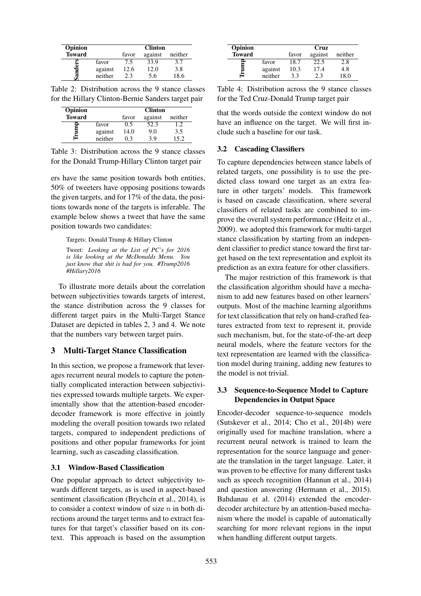| Opinion       |         | <b>Clinton</b>              |      |      |
|---------------|---------|-----------------------------|------|------|
| <b>Toward</b> |         | against<br>neither<br>favor |      |      |
|               | favor   | 7.5                         | 33.9 | 3.7  |
| der           | against | 12.6                        | 12.0 | 3.8  |
| ಷ             | neither | 23                          | 5.6  | 18.6 |

Table 2: Distribution across the 9 stance classes for the Hillary Clinton-Bernie Sanders target pair

| Opinion       |         |                             | <b>Clinton</b> |         |
|---------------|---------|-----------------------------|----------------|---------|
| <b>Toward</b> |         | against<br>neither<br>favor |                |         |
|               | favor   | 0.5                         | 52.3           | $1.2 -$ |
|               | against | 14.0                        | 9.0            | 3.5     |
| ≐             | neither | 0 3                         | 39             | 152     |

Table 3: Distribution across the 9 stance classes for the Donald Trump-Hillary Clinton target pair

ers have the same position towards both entities, 50% of tweeters have opposing positions towards the given targets, and for 17% of the data, the positions towards none of the targets is inferable. The example below shows a tweet that have the same position towards two candidates:

Targets: Donald Trump & Hillary Clinton

Tweet: *Looking at the List of PC's for 2016 is like looking at the McDonalds Menu. You just know that shit is bad for you. #Trump2016 #Hillary2016*

To illustrate more details about the correlation between subjectivities towards targets of interest, the stance distribution across the 9 classes for different target pairs in the Multi-Target Stance Dataset are depicted in tables 2, 3 and 4. We note that the numbers vary between target pairs.

### 3 Multi-Target Stance Classification

In this section, we propose a framework that leverages recurrent neural models to capture the potentially complicated interaction between subjectivities expressed towards multiple targets. We experimentally show that the attention-based encoderdecoder framework is more effective in jointly modeling the overall position towards two related targets, compared to independent predictions of positions and other popular frameworks for joint learning, such as cascading classification.

### 3.1 Window-Based Classification

One popular approach to detect subjectivity towards different targets, as is used in aspect-based sentiment classification (Brychcín et al., 2014), is to consider a context window of size  $n$  in both directions around the target terms and to extract features for that target's classifier based on its context. This approach is based on the assumption

| Opinion       |         | Cruz<br>against<br>neither<br>favor |      |      |
|---------------|---------|-------------------------------------|------|------|
| <b>Toward</b> |         |                                     |      |      |
|               | favor   | 18.7                                | 22.5 | 2.8  |
|               | against | 10.3                                | 17.4 | 4.8  |
| ⋍             | neither | 3.3                                 | 2.3  | 18 O |

Table 4: Distribution across the 9 stance classes for the Ted Cruz-Donald Trump target pair

that the words outside the context window do not have an influence on the target. We will first include such a baseline for our task.

### 3.2 Cascading Classifiers

To capture dependencies between stance labels of related targets, one possibility is to use the predicted class toward one target as an extra feature in other targets' models. This framework is based on cascade classification, where several classifiers of related tasks are combined to improve the overall system performance (Heitz et al., 2009). we adopted this framework for multi-target stance classification by starting from an independent classifier to predict stance toward the first target based on the text representation and exploit its prediction as an extra feature for other classifiers.

The major restriction of this framework is that the classification algorithm should have a mechanism to add new features based on other learners' outputs. Most of the machine learning algorithms for text classification that rely on hand-crafted features extracted from text to represent it, provide such mechanism, but, for the state-of-the-art deep neural models, where the feature vectors for the text representation are learned with the classification model during training, adding new features to the model is not trivial.

## 3.3 Sequence-to-Sequence Model to Capture Dependencies in Output Space

Encoder-decoder sequence-to-sequence models (Sutskever et al., 2014; Cho et al., 2014b) were originally used for machine translation, where a recurrent neural network is trained to learn the representation for the source language and generate the translation in the target language. Later, it was proven to be effective for many different tasks such as speech recognition (Hannun et al., 2014) and question answering (Hermann et al., 2015). Bahdanau et al. (2014) extended the encoderdecoder architecture by an attention-based mechanism where the model is capable of automatically searching for more relevant regions in the input when handling different output targets.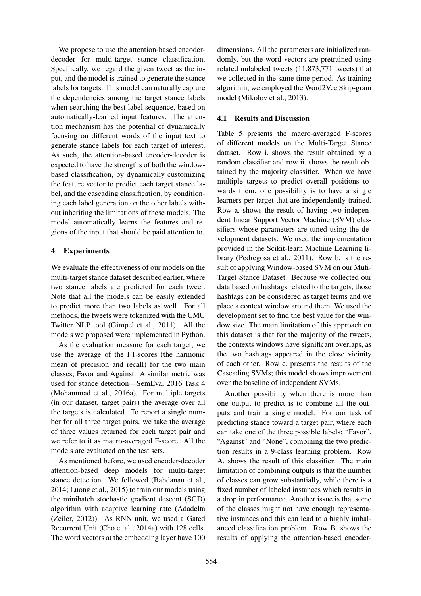We propose to use the attention-based encoderdecoder for multi-target stance classification. Specifically, we regard the given tweet as the input, and the model is trained to generate the stance labels for targets. This model can naturally capture the dependencies among the target stance labels when searching the best label sequence, based on automatically-learned input features. The attention mechanism has the potential of dynamically focusing on different words of the input text to generate stance labels for each target of interest. As such, the attention-based encoder-decoder is expected to have the strengths of both the windowbased classification, by dynamically customizing the feature vector to predict each target stance label, and the cascading classification, by conditioning each label generation on the other labels without inheriting the limitations of these models. The model automatically learns the features and regions of the input that should be paid attention to.

# 4 Experiments

We evaluate the effectiveness of our models on the multi-target stance dataset described earlier, where two stance labels are predicted for each tweet. Note that all the models can be easily extended to predict more than two labels as well. For all methods, the tweets were tokenized with the CMU Twitter NLP tool (Gimpel et al., 2011). All the models we proposed were implemented in Python.

As the evaluation measure for each target, we use the average of the F1-scores (the harmonic mean of precision and recall) for the two main classes, Favor and Against. A similar metric was used for stance detection—SemEval 2016 Task 4 (Mohammad et al., 2016a). For multiple targets (in our dataset, target pairs) the average over all the targets is calculated. To report a single number for all three target pairs, we take the average of three values returned for each target pair and we refer to it as macro-averaged F-score. All the models are evaluated on the test sets.

As mentioned before, we used encoder-decoder attention-based deep models for multi-target stance detection. We followed (Bahdanau et al., 2014; Luong et al., 2015) to train our models using the minibatch stochastic gradient descent (SGD) algorithm with adaptive learning rate (Adadelta (Zeiler, 2012)). As RNN unit, we used a Gated Recurrent Unit (Cho et al., 2014a) with 128 cells. The word vectors at the embedding layer have 100 dimensions. All the parameters are initialized randomly, but the word vectors are pretrained using related unlabeled tweets (11,873,771 tweets) that we collected in the same time period. As training algorithm, we employed the Word2Vec Skip-gram model (Mikolov et al., 2013).

# 4.1 Results and Discussion

Table 5 presents the macro-averaged F-scores of different models on the Multi-Target Stance dataset. Row i. shows the result obtained by a random classifier and row ii. shows the result obtained by the majority classifier. When we have multiple targets to predict overall positions towards them, one possibility is to have a single learners per target that are independently trained. Row a. shows the result of having two independent linear Support Vector Machine (SVM) classifiers whose parameters are tuned using the development datasets. We used the implementation provided in the Scikit-learn Machine Learning library (Pedregosa et al., 2011). Row b. is the result of applying Window-based SVM on our Muti-Target Stance Dataset. Because we collected our data based on hashtags related to the targets, those hashtags can be considered as target terms and we place a context window around them. We used the development set to find the best value for the window size. The main limitation of this approach on this dataset is that for the majority of the tweets, the contexts windows have significant overlaps, as the two hashtags appeared in the close vicinity of each other. Row c. presents the results of the Cascading SVMs; this model shows improvement over the baseline of independent SVMs.

Another possibility when there is more than one output to predict is to combine all the outputs and train a single model. For our task of predicting stance toward a target pair, where each can take one of the three possible labels: "Favor", "Against" and "None", combining the two prediction results in a 9-class learning problem. Row A. shows the result of this classifier. The main limitation of combining outputs is that the number of classes can grow substantially, while there is a fixed number of labeled instances which results in a drop in performance. Another issue is that some of the classes might not have enough representative instances and this can lead to a highly imbalanced classification problem. Row B. shows the results of applying the attention-based encoder-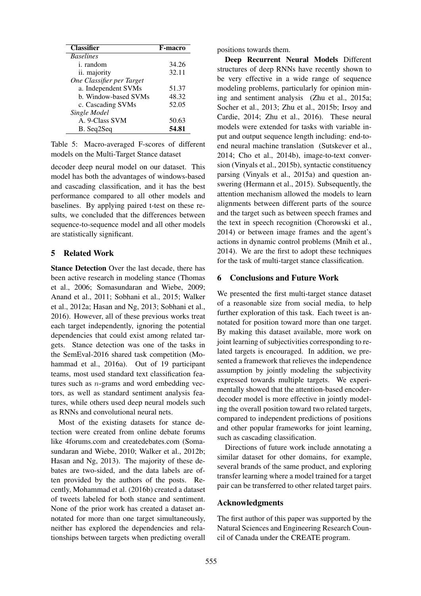| <b>Classifier</b>         | <b>F-macro</b> |
|---------------------------|----------------|
| <b>Baselines</b>          |                |
| i. random                 | 34.26          |
| ii. majority              | 32.11          |
| One Classifier per Target |                |
| a. Independent SVMs       | 51.37          |
| b. Window-based SVMs      | 48.32          |
| c. Cascading SVMs         | 52.05          |
| Single Model              |                |
| A. 9-Class SVM            | 50.63          |
| B. Seq2Seq                | 54.81          |

Table 5: Macro-averaged F-scores of different models on the Multi-Target Stance dataset

decoder deep neural model on our dataset. This model has both the advantages of windows-based and cascading classification, and it has the best performance compared to all other models and baselines. By applying paired t-test on these results, we concluded that the differences between sequence-to-sequence model and all other models are statistically significant.

### 5 Related Work

Stance Detection Over the last decade, there has been active research in modeling stance (Thomas et al., 2006; Somasundaran and Wiebe, 2009; Anand et al., 2011; Sobhani et al., 2015; Walker et al., 2012a; Hasan and Ng, 2013; Sobhani et al., 2016). However, all of these previous works treat each target independently, ignoring the potential dependencies that could exist among related targets. Stance detection was one of the tasks in the SemEval-2016 shared task competition (Mohammad et al., 2016a). Out of 19 participant teams, most used standard text classification features such as n-grams and word embedding vectors, as well as standard sentiment analysis features, while others used deep neural models such as RNNs and convolutional neural nets.

Most of the existing datasets for stance detection were created from online debate forums like 4forums.com and createdebates.com (Somasundaran and Wiebe, 2010; Walker et al., 2012b; Hasan and Ng, 2013). The majority of these debates are two-sided, and the data labels are often provided by the authors of the posts. Recently, Mohammad et al. (2016b) created a dataset of tweets labeled for both stance and sentiment. None of the prior work has created a dataset annotated for more than one target simultaneously, neither has explored the dependencies and relationships between targets when predicting overall

positions towards them.

Deep Recurrent Neural Models Different structures of deep RNNs have recently shown to be very effective in a wide range of sequence modeling problems, particularly for opinion mining and sentiment analysis (Zhu et al., 2015a; Socher et al., 2013; Zhu et al., 2015b; Irsoy and Cardie, 2014; Zhu et al., 2016). These neural models were extended for tasks with variable input and output sequence length including: end-toend neural machine translation (Sutskever et al., 2014; Cho et al., 2014b), image-to-text conversion (Vinyals et al., 2015b), syntactic constituency parsing (Vinyals et al., 2015a) and question answering (Hermann et al., 2015). Subsequently, the attention mechanism allowed the models to learn alignments between different parts of the source and the target such as between speech frames and the text in speech recognition (Chorowski et al., 2014) or between image frames and the agent's actions in dynamic control problems (Mnih et al., 2014). We are the first to adopt these techniques for the task of multi-target stance classification.

#### 6 Conclusions and Future Work

We presented the first multi-target stance dataset of a reasonable size from social media, to help further exploration of this task. Each tweet is annotated for position toward more than one target. By making this dataset available, more work on joint learning of subjectivities corresponding to related targets is encouraged. In addition, we presented a framework that relieves the independence assumption by jointly modeling the subjectivity expressed towards multiple targets. We experimentally showed that the attention-based encoderdecoder model is more effective in jointly modeling the overall position toward two related targets, compared to independent predictions of positions and other popular frameworks for joint learning, such as cascading classification.

Directions of future work include annotating a similar dataset for other domains, for example, several brands of the same product, and exploring transfer learning where a model trained for a target pair can be transferred to other related target pairs.

#### Acknowledgments

The first author of this paper was supported by the Natural Sciences and Engineering Research Council of Canada under the CREATE program.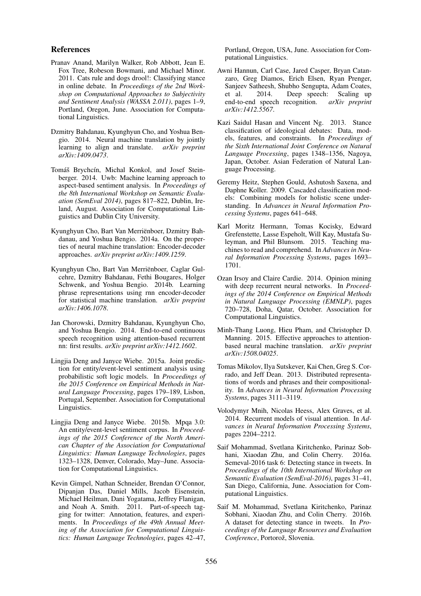#### References

- Pranav Anand, Marilyn Walker, Rob Abbott, Jean E. Fox Tree, Robeson Bowmani, and Michael Minor. 2011. Cats rule and dogs drool!: Classifying stance in online debate. In *Proceedings of the 2nd Workshop on Computational Approaches to Subjectivity and Sentiment Analysis (WASSA 2.011)*, pages 1–9, Portland, Oregon, June. Association for Computational Linguistics.
- Dzmitry Bahdanau, Kyunghyun Cho, and Yoshua Bengio. 2014. Neural machine translation by jointly learning to align and translate. *arXiv preprint arXiv:1409.0473*.
- Tomáš Brychcín, Michal Konkol, and Josef Steinberger. 2014. Uwb: Machine learning approach to aspect-based sentiment analysis. In *Proceedings of the 8th International Workshop on Semantic Evaluation (SemEval 2014)*, pages 817–822, Dublin, Ireland, August. Association for Computational Linguistics and Dublin City University.
- Kyunghyun Cho, Bart Van Merrienboer, Dzmitry Bah- ¨ danau, and Yoshua Bengio. 2014a. On the properties of neural machine translation: Encoder-decoder approaches. *arXiv preprint arXiv:1409.1259*.
- Kyunghyun Cho, Bart Van Merrienboer, Caglar Gul- ¨ cehre, Dzmitry Bahdanau, Fethi Bougares, Holger Schwenk, and Yoshua Bengio. 2014b. Learning phrase representations using rnn encoder-decoder for statistical machine translation. *arXiv preprint arXiv:1406.1078*.
- Jan Chorowski, Dzmitry Bahdanau, Kyunghyun Cho, and Yoshua Bengio. 2014. End-to-end continuous speech recognition using attention-based recurrent nn: first results. *arXiv preprint arXiv:1412.1602*.
- Lingjia Deng and Janyce Wiebe. 2015a. Joint prediction for entity/event-level sentiment analysis using probabilistic soft logic models. In *Proceedings of the 2015 Conference on Empirical Methods in Natural Language Processing*, pages 179–189, Lisbon, Portugal, September. Association for Computational Linguistics.
- Lingjia Deng and Janyce Wiebe. 2015b. Mpqa 3.0: An entity/event-level sentiment corpus. In *Proceedings of the 2015 Conference of the North American Chapter of the Association for Computational Linguistics: Human Language Technologies*, pages 1323–1328, Denver, Colorado, May–June. Association for Computational Linguistics.
- Kevin Gimpel, Nathan Schneider, Brendan O'Connor, Dipanjan Das, Daniel Mills, Jacob Eisenstein, Michael Heilman, Dani Yogatama, Jeffrey Flanigan, and Noah A. Smith. 2011. Part-of-speech tagging for twitter: Annotation, features, and experiments. In *Proceedings of the 49th Annual Meeting of the Association for Computational Linguistics: Human Language Technologies*, pages 42–47,

Portland, Oregon, USA, June. Association for Computational Linguistics.

- Awni Hannun, Carl Case, Jared Casper, Bryan Catanzaro, Greg Diamos, Erich Elsen, Ryan Prenger, Sanjeev Satheesh, Shubho Sengupta, Adam Coates, et al. 2014. Deep speech: Scaling up end-to-end speech recognition. *arXiv preprint arXiv:1412.5567*.
- Kazi Saidul Hasan and Vincent Ng. 2013. Stance classification of ideological debates: Data, models, features, and constraints. In *Proceedings of the Sixth International Joint Conference on Natural Language Processing*, pages 1348–1356, Nagoya, Japan, October. Asian Federation of Natural Language Processing.
- Geremy Heitz, Stephen Gould, Ashutosh Saxena, and Daphne Koller. 2009. Cascaded classification models: Combining models for holistic scene understanding. In *Advances in Neural Information Processing Systems*, pages 641–648.
- Karl Moritz Hermann, Tomas Kocisky, Edward Grefenstette, Lasse Espeholt, Will Kay, Mustafa Suleyman, and Phil Blunsom. 2015. Teaching machines to read and comprehend. In *Advances in Neural Information Processing Systems*, pages 1693– 1701.
- Ozan Irsoy and Claire Cardie. 2014. Opinion mining with deep recurrent neural networks. In *Proceedings of the 2014 Conference on Empirical Methods in Natural Language Processing (EMNLP)*, pages 720–728, Doha, Qatar, October. Association for Computational Linguistics.
- Minh-Thang Luong, Hieu Pham, and Christopher D. Manning. 2015. Effective approaches to attentionbased neural machine translation. *arXiv preprint arXiv:1508.04025*.
- Tomas Mikolov, Ilya Sutskever, Kai Chen, Greg S. Corrado, and Jeff Dean. 2013. Distributed representations of words and phrases and their compositionality. In *Advances in Neural Information Processing Systems*, pages 3111–3119.
- Volodymyr Mnih, Nicolas Heess, Alex Graves, et al. 2014. Recurrent models of visual attention. In *Advances in Neural Information Processing Systems*, pages 2204–2212.
- Saif Mohammad, Svetlana Kiritchenko, Parinaz Sobhani, Xiaodan Zhu, and Colin Cherry. 2016a. Semeval-2016 task 6: Detecting stance in tweets. In *Proceedings of the 10th International Workshop on Semantic Evaluation (SemEval-2016)*, pages 31–41, San Diego, California, June. Association for Computational Linguistics.
- Saif M. Mohammad, Svetlana Kiritchenko, Parinaz Sobhani, Xiaodan Zhu, and Colin Cherry. 2016b. A dataset for detecting stance in tweets. In *Proceedings of the Language Resources and Evaluation* Conference, Portorož, Slovenia.